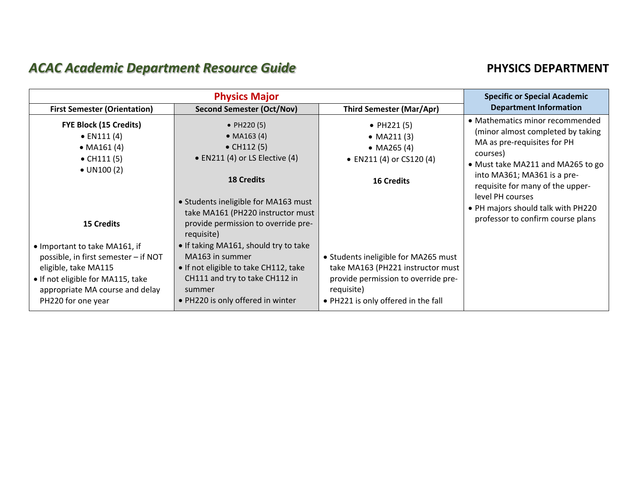## **ACAC Academic Department Resource Guide PHYSICS DEPARTMENT**

|                                                                                                                                                                                                                  | <b>Specific or Special Academic</b>                                                                                                                                                                                                                                                                                  |                                                                                                                                                                       |                                                                                                                                                                                                                                                                                                                        |
|------------------------------------------------------------------------------------------------------------------------------------------------------------------------------------------------------------------|----------------------------------------------------------------------------------------------------------------------------------------------------------------------------------------------------------------------------------------------------------------------------------------------------------------------|-----------------------------------------------------------------------------------------------------------------------------------------------------------------------|------------------------------------------------------------------------------------------------------------------------------------------------------------------------------------------------------------------------------------------------------------------------------------------------------------------------|
| <b>First Semester (Orientation)</b>                                                                                                                                                                              | <b>Second Semester (Oct/Nov)</b>                                                                                                                                                                                                                                                                                     | <b>Third Semester (Mar/Apr)</b>                                                                                                                                       | <b>Department Information</b>                                                                                                                                                                                                                                                                                          |
| <b>FYE Block (15 Credits)</b><br>$\bullet$ EN111 (4)<br>• $MA161(4)$<br>• $CH111(5)$<br>$\bullet$ UN100 (2)                                                                                                      | • $PH220(5)$<br>• $MA163(4)$<br>$\bullet$ CH112 $(5)$<br>$\bullet$ EN211 (4) or LS Elective (4)<br><b>18 Credits</b>                                                                                                                                                                                                 | • $PH221(5)$<br>• $MA211(3)$<br>• MA265 $(4)$<br>• EN211 (4) or CS120 (4)<br><b>16 Credits</b>                                                                        | • Mathematics minor recommended<br>(minor almost completed by taking<br>MA as pre-requisites for PH<br>courses)<br>• Must take MA211 and MA265 to go<br>into MA361; MA361 is a pre-<br>requisite for many of the upper-<br>level PH courses<br>• PH majors should talk with PH220<br>professor to confirm course plans |
| <b>15 Credits</b><br>. Important to take MA161, if<br>possible, in first semester - if NOT<br>eligible, take MA115<br>. If not eligible for MA115, take<br>appropriate MA course and delay<br>PH220 for one year | • Students ineligible for MA163 must<br>take MA161 (PH220 instructor must<br>provide permission to override pre-<br>requisite)<br>• If taking MA161, should try to take<br>MA163 in summer<br>• If not eligible to take CH112, take<br>CH111 and try to take CH112 in<br>summer<br>• PH220 is only offered in winter | • Students ineligible for MA265 must<br>take MA163 (PH221 instructor must<br>provide permission to override pre-<br>requisite)<br>• PH221 is only offered in the fall |                                                                                                                                                                                                                                                                                                                        |